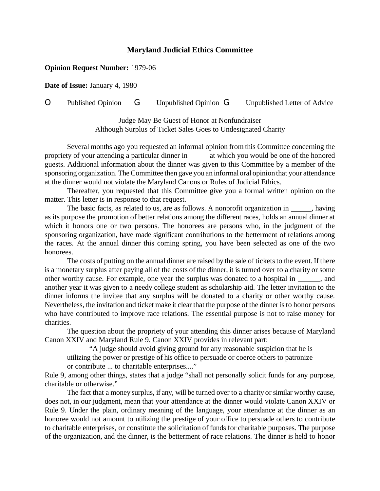## **Maryland Judicial Ethics Committee**

## **Opinion Request Number:** 1979-06

**Date of Issue:** January 4, 1980

O Published Opinion G Unpublished Opinion G Unpublished Letter of Advice

Judge May Be Guest of Honor at Nonfundraiser Although Surplus of Ticket Sales Goes to Undesignated Charity

Several months ago you requested an informal opinion from this Committee concerning the propriety of your attending a particular dinner in \_\_\_\_\_\_ at which you would be one of the honored guests. Additional information about the dinner was given to this Committee by a member of the sponsoring organization. The Committee then gave you an informal oral opinion that your attendance at the dinner would not violate the Maryland Canons or Rules of Judicial Ethics.

Thereafter, you requested that this Committee give you a formal written opinion on the matter. This letter is in response to that request.

The basic facts, as related to us, are as follows. A nonprofit organization in  $\_\_\_\_\$  having as its purpose the promotion of better relations among the different races, holds an annual dinner at which it honors one or two persons. The honorees are persons who, in the judgment of the sponsoring organization, have made significant contributions to the betterment of relations among the races. At the annual dinner this coming spring, you have been selected as one of the two honorees.

The costs of putting on the annual dinner are raised by the sale of tickets to the event. If there is a monetary surplus after paying all of the costs of the dinner, it is turned over to a charity or some other worthy cause. For example, one year the surplus was donated to a hospital in  $\qquad \qquad$ , and another year it was given to a needy college student as scholarship aid. The letter invitation to the dinner informs the invitee that any surplus will be donated to a charity or other worthy cause. Nevertheless, the invitation and ticket make it clear that the purpose of the dinner is to honor persons who have contributed to improve race relations. The essential purpose is not to raise money for charities.

The question about the propriety of your attending this dinner arises because of Maryland Canon XXIV and Maryland Rule 9. Canon XXIV provides in relevant part:

"A judge should avoid giving ground for any reasonable suspicion that he is utilizing the power or prestige of his office to persuade or coerce others to patronize or contribute ... to charitable enterprises...."

Rule 9, among other things, states that a judge "shall not personally solicit funds for any purpose, charitable or otherwise."

The fact that a money surplus, if any, will be turned over to a charity or similar worthy cause, does not, in our judgment, mean that your attendance at the dinner would violate Canon XXIV or Rule 9. Under the plain, ordinary meaning of the language, your attendance at the dinner as an honoree would not amount to utilizing the prestige of your office to persuade others to contribute to charitable enterprises, or constitute the solicitation of funds for charitable purposes. The purpose of the organization, and the dinner, is the betterment of race relations. The dinner is held to honor